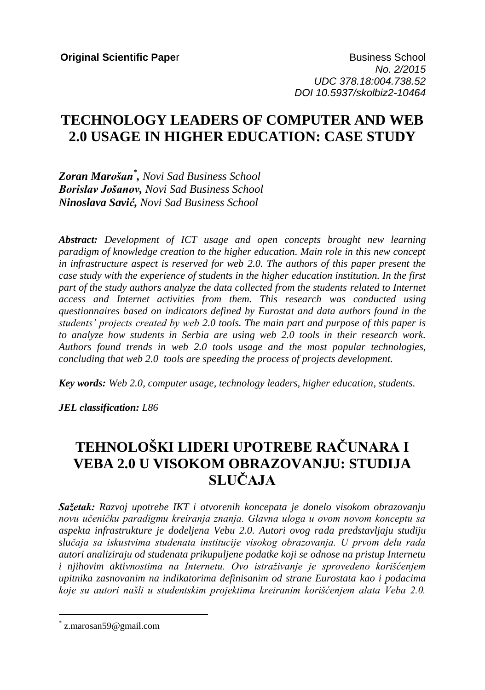**Original Scientific Paper Business School Business School** *No. 2/2015 UDC 378.18:004.738.52 DOI 10.5937/skolbiz2-10464*

## **TECHNOLOGY LEADERS OF COMPUTER AND WEB 2.0 USAGE IN HIGHER EDUCATION: CASE STUDY**

*Zoran Marošan\* , Novi Sad Business School Borislav Jošanov, Novi Sad Business School Ninoslava Savić, Novi Sad Business School*

*Abstract: Development of ICT usage and open concepts brought new learning paradigm of knowledge creation to the higher education. Main role in this new concept in infrastructure aspect is reserved for web 2.0. The authors of this paper present the case study with the experience of students in the higher education institution. In the first part of the study authors analyze the data collected from the students related to Internet access and Internet activities from them. This research was conducted using questionnaires based on indicators defined by Eurostat and data authors found in the students' projects created by web 2.0 tools. The main part and purpose of this paper is to analyze how students in Serbia are using web 2.0 tools in their research work. Authors found trends in web 2.0 tools usage and the most popular technologies, concluding that web 2.0 tools are speeding the process of projects development.*

*Key words: Web 2.0, computer usage, technology leaders, higher education, students*.

*JEL classification: L86*

# **TEHNOLOŠKI LIDERI UPOTREBE RAČUNARA I VEBA 2.0 U VISOKOM OBRAZOVANJU: STUDIJA SLUČAJA**

*Sažetak: Razvoj upotrebe IKT i otvorenih koncepata je donelo visokom obrazovanju novu učeničku paradigmu kreiranja znanja. Glavna uloga u ovom novom konceptu sa aspekta infrastrukture je dodeljena Vebu 2.0. Autori ovog rada predstavljaju studiju slučaja sa iskustvima studenata institucije visokog obrazovanja. U prvom delu rada autori analiziraju od studenata prikupuljene podatke koji se odnose na pristup Internetu i njihovim aktivnostima na Internetu. Ovo istraživanje je sprovedeno korišćenjem upitnika zasnovanim na indikatorima definisanim od strane Eurostata kao i podacima koje su autori našli u studentskim projektima kreiranim korišćenjem alata Veba 2.0.*

 $\overline{a}$ 

<sup>\*</sup> z.marosan59@gmail.com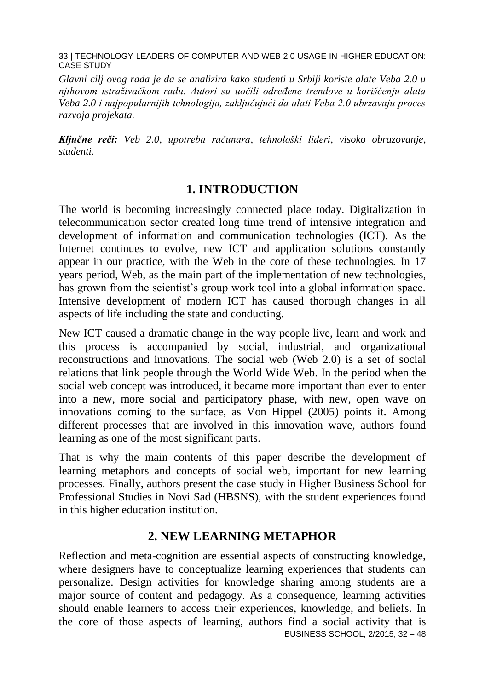*Glavni cilj ovog rada je da se analizira kako studenti u Srbiji koriste alate Veba 2.0 u njihovom istraživačkom radu. Autori su uočili određene trendove u korišćenju alata Veba 2.0 i najpopularnijih tehnologija, zaključujući da alati Veba 2.0 ubrzavaju proces razvoja projekata.*

*Ključne reči: Veb 2.0, upotreba računara, tehnološki lideri, visoko obrazovanje, studenti.*

### **1. INTRODUCTION**

The world is becoming increasingly connected place today. Digitalization in telecommunication sector created long time trend of intensive integration and development of information and communication technologies (ICT). As the Internet continues to evolve, new ICT and application solutions constantly appear in our practice, with the Web in the core of these technologies. In 17 years period, Web, as the main part of the implementation of new technologies, has grown from the scientist's group work tool into a global information space. Intensive development of modern ICT has caused thorough changes in all aspects of life including the state and conducting.

New ICT caused a dramatic change in the way people live, learn and work and this process is accompanied by social, industrial, and organizational reconstructions and innovations. The social web (Web 2.0) is a set of social relations that link people through the World Wide Web. In the period when the social web concept was introduced, it became more important than ever to enter into a new, more social and participatory phase, with new, open wave on innovations coming to the surface, as Von Hippel (2005) points it. Among different processes that are involved in this innovation wave, authors found learning as one of the most significant parts.

That is why the main contents of this paper describe the development of learning metaphors and concepts of social web, important for new learning processes. Finally, authors present the case study in Higher Business School for Professional Studies in Novi Sad (HBSNS), with the student experiences found in this higher education institution.

#### **2. NEW LEARNING METAPHOR**

BUSINESS SCHOOL, 2/2015, 32 – 48 Reflection and meta-cognition are essential aspects of constructing knowledge, where designers have to conceptualize learning experiences that students can personalize. Design activities for knowledge sharing among students are a major source of content and pedagogy. As a consequence, learning activities should enable learners to access their experiences, knowledge, and beliefs. In the core of those aspects of learning, authors find a social activity that is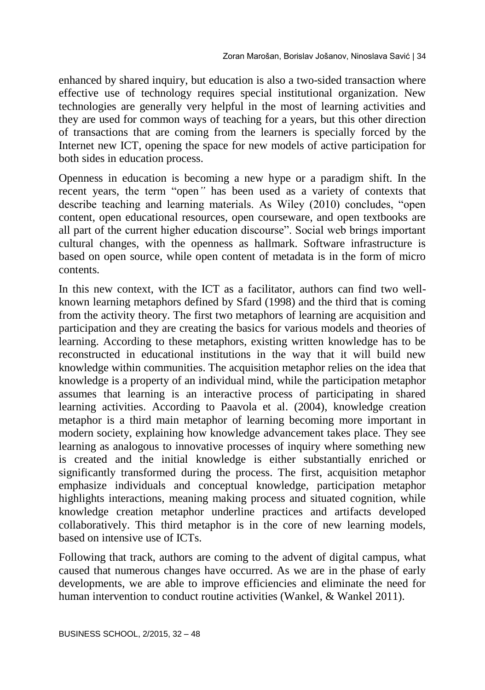enhanced by shared inquiry, but education is also a two-sided transaction where effective use of technology requires special institutional organization. New technologies are generally very helpful in the most of learning activities and they are used for common ways of teaching for a years, but this other direction of transactions that are coming from the learners is specially forced by the Internet new ICT, opening the space for new models of active participation for both sides in education process.

Openness in education is becoming a new hype or a paradigm shift. In the recent years, the term "open*"* has been used as a variety of contexts that describe teaching and learning materials. As Wiley (2010) concludes, "open content, open educational resources, open courseware, and open textbooks are all part of the current higher education discourse". Social web brings important cultural changes, with the openness as hallmark. Software infrastructure is based on open source, while open content of metadata is in the form of micro contents.

In this new context, with the ICT as a facilitator, authors can find two wellknown learning metaphors defined by Sfard (1998) and the third that is coming from the activity theory. The first two metaphors of learning are acquisition and participation and they are creating the basics for various models and theories of learning. According to these metaphors, existing written knowledge has to be reconstructed in educational institutions in the way that it will build new knowledge within communities. The acquisition metaphor relies on the idea that knowledge is a property of an individual mind, while the participation metaphor assumes that learning is an interactive process of participating in shared learning activities. According to Paavola et al. (2004), knowledge creation metaphor is a third main metaphor of learning becoming more important in modern society, explaining how knowledge advancement takes place. They see learning as analogous to innovative processes of inquiry where something new is created and the initial knowledge is either substantially enriched or significantly transformed during the process. The first, acquisition metaphor emphasize individuals and conceptual knowledge, participation metaphor highlights interactions, meaning making process and situated cognition, while knowledge creation metaphor underline practices and artifacts developed collaboratively. This third metaphor is in the core of new learning models, based on intensive use of ICTs.

Following that track, authors are coming to the advent of digital campus, what caused that numerous changes have occurred. As we are in the phase of early developments, we are able to improve efficiencies and eliminate the need for human intervention to conduct routine activities (Wankel, & Wankel 2011).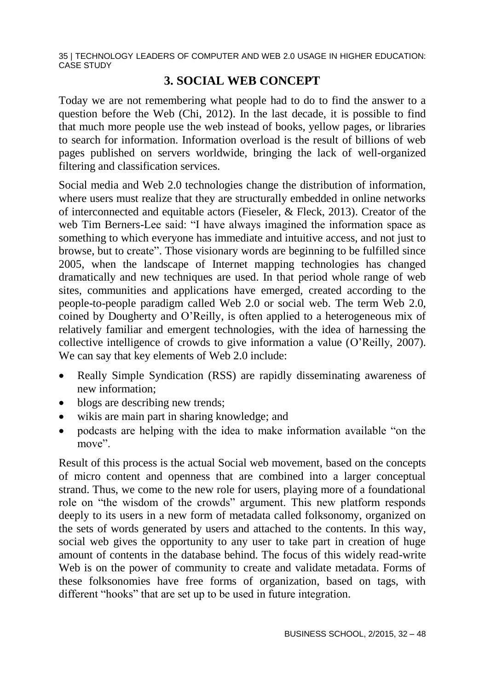#### **3. SOCIAL WEB CONCEPT**

Today we are not remembering what people had to do to find the answer to a question before the Web (Chi, 2012). In the last decade, it is possible to find that much more people use the web instead of books, yellow pages, or libraries to search for information. Information overload is the result of billions of web pages published on servers worldwide, bringing the lack of well-organized filtering and classification services.

Social media and Web 2.0 technologies change the distribution of information, where users must realize that they are structurally embedded in online networks of interconnected and equitable actors (Fieseler, & Fleck, 2013). Creator of the web Tim Berners-Lee said: "I have always imagined the information space as something to which everyone has immediate and intuitive access, and not just to browse, but to create". Those visionary words are beginning to be fulfilled since 2005, when the landscape of Internet mapping technologies has changed dramatically and new techniques are used. In that period whole range of web sites, communities and applications have emerged, created according to the people-to-people paradigm called Web 2.0 or social web. The term Web 2.0, coined by Dougherty and O'Reilly, is often applied to a heterogeneous mix of relatively familiar and emergent technologies, with the idea of harnessing the collective intelligence of crowds to give information a value (O'Reilly, 2007). We can say that key elements of Web 2.0 include:

- Really Simple Syndication (RSS) are rapidly disseminating awareness of new information;
- blogs are describing new trends;
- wikis are main part in sharing knowledge; and
- podcasts are helping with the idea to make information available "on the move".

Result of this process is the actual Social web movement, based on the concepts of micro content and openness that are combined into a larger conceptual strand. Thus, we come to the new role for users, playing more of a foundational role on "the wisdom of the crowds" argument. This new platform responds deeply to its users in a new form of metadata called folksonomy, organized on the sets of words generated by users and attached to the contents. In this way, social web gives the opportunity to any user to take part in creation of huge amount of contents in the database behind. The focus of this widely read-write Web is on the power of community to create and validate metadata. Forms of these folksonomies have free forms of organization, based on tags, with different "hooks" that are set up to be used in future integration.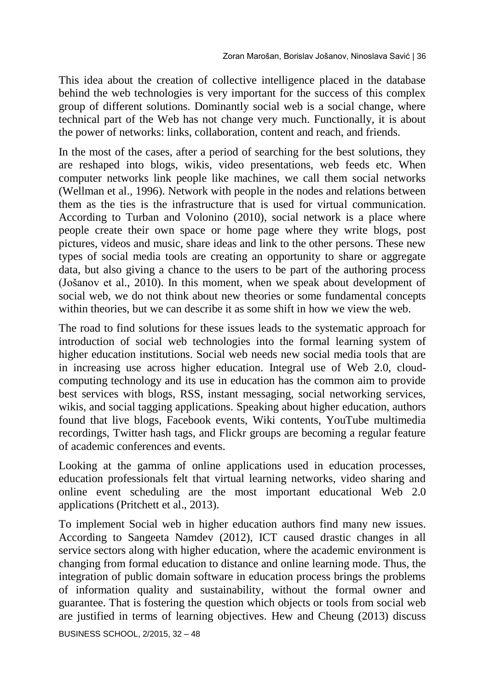This idea about the creation of collective intelligence placed in the database behind the web technologies is very important for the success of this complex group of different solutions. Dominantly social web is a social change, where technical part of the Web has not change very much. Functionally, it is about the power of networks: links, collaboration, content and reach, and friends.

In the most of the cases, after a period of searching for the best solutions, they are reshaped into blogs, wikis, video presentations, web feeds etc. When computer networks link people like machines, we call them social networks (Wellman et al., 1996). Network with people in the nodes and relations between them as the ties is the infrastructure that is used for virtual communication. According to Turban and Volonino (2010), social network is a place where people create their own space or home page where they write blogs, post pictures, videos and music, share ideas and link to the other persons. These new types of social media tools are creating an opportunity to share or aggregate data, but also giving a chance to the users to be part of the authoring process (Jošanov et al., 2010). In this moment, when we speak about development of social web, we do not think about new theories or some fundamental concepts within theories, but we can describe it as some shift in how we view the web.

The road to find solutions for these issues leads to the systematic approach for introduction of social web technologies into the formal learning system of higher education institutions. Social web needs new social media tools that are in increasing use across higher education. Integral use of Web 2.0, cloudcomputing technology and its use in education has the common aim to provide best services with blogs, RSS, instant messaging, social networking services, wikis, and social tagging applications. Speaking about higher education, authors found that live blogs, Facebook events, Wiki contents, YouTube multimedia recordings, Twitter hash tags, and Flickr groups are becoming a regular feature of academic conferences and events.

Looking at the gamma of online applications used in education processes, education professionals felt that virtual learning networks, video sharing and online event scheduling are the most important educational Web 2.0 applications (Pritchett et al., 2013).

To implement Social web in higher education authors find many new issues. According to [Sangeeta Namdev](javascript:__doLinkPostBack() (2012), ICT caused drastic changes in all service sectors along with higher education, where the academic environment is changing from formal education to distance and online learning mode. Thus, the integration of public domain software in education process brings the problems of information quality and sustainability, without the formal owner and guarantee. That is fostering the question which objects or tools from social web are justified in terms of learning objectives. Hew and Cheung (2013) discuss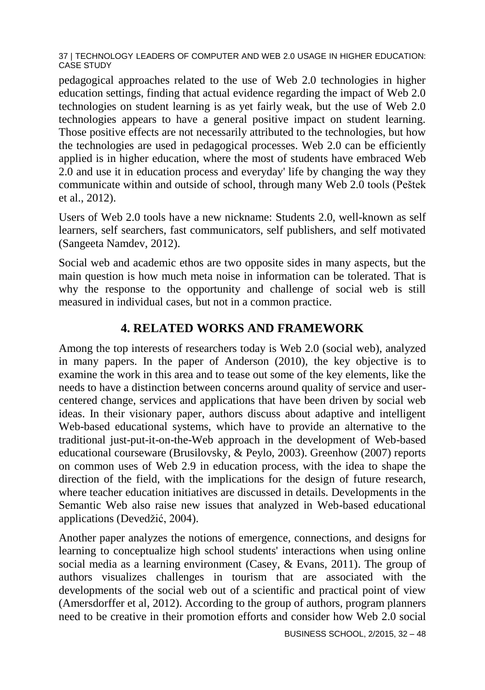pedagogical approaches related to the use of Web 2.0 technologies in higher education settings, finding that actual evidence regarding the impact of Web 2.0 technologies on student learning is as yet fairly weak, but the use of Web 2.0 technologies appears to have a general positive impact on student learning. Those positive effects are not necessarily attributed to the technologies, but how the technologies are used in pedagogical processes. Web 2.0 can be efficiently applied is in higher education, where the most of students have embraced Web 2.0 and use it in education process and everyday' life by changing the way they communicate within and outside of school, through many Web 2.0 tools (Peštek et al., 2012).

Users of Web 2.0 tools have a new nickname: Students 2.0, well-known as self learners, self searchers, fast communicators, self publishers, and self motivated [\(Sangeeta Namdev,](javascript:__doLinkPostBack() 2012).

Social web and academic ethos are two opposite sides in many aspects, but the main question is how much meta noise in information can be tolerated. That is why the response to the opportunity and challenge of social web is still measured in individual cases, but not in a common practice.

### **4. RELATED WORKS AND FRAMEWORK**

Among the top interests of researchers today is Web 2.0 (social web), analyzed in many papers. In the paper of Anderson (2010), the key objective is to examine the work in this area and to tease out some of the key elements, like the needs to have a distinction between concerns around quality of service and usercentered change, services and applications that have been driven by social web ideas. In their visionary paper, authors discuss about adaptive and intelligent Web-based educational systems, which have to provide an alternative to the traditional just-put-it-on-the-Web approach in the development of Web-based educational courseware (Brusilovsky, & Peylo, 2003). Greenhow (2007) reports on common uses of Web 2.9 in education process, with the idea to shape the direction of the field, with the implications for the design of future research, where teacher education initiatives are discussed in details. Developments in the Semantic Web also raise new issues that analyzed in Web-based educational applications (Devedžić, 2004).

Another paper analyzes the notions of emergence, connections, and designs for learning to conceptualize high school students' interactions when using online social media as a learning environment (Casey, & Evans, 2011). The group of authors visualizes challenges in tourism that are associated with the developments of the social web out of a scientific and practical point of view (Amersdorffer et al, 2012). According to the group of authors, program planners need to be creative in their promotion efforts and consider how Web 2.0 social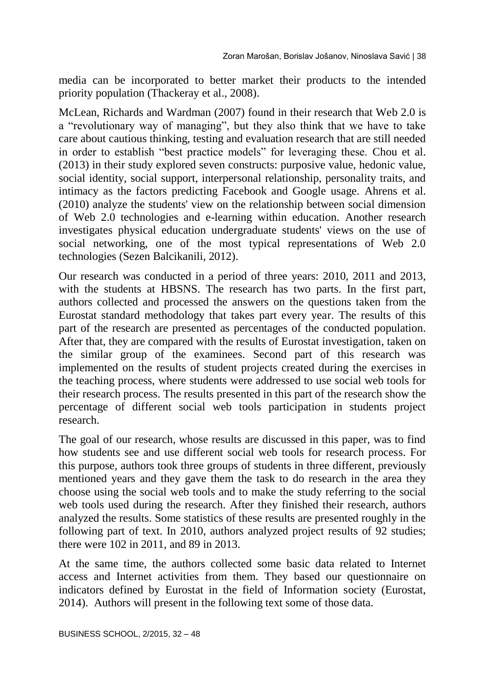media can be incorporated to better market their products to the intended priority population (Thackeray et al., 2008).

McLean, Richards and Wardman (2007) found in their research that Web 2.0 is a "revolutionary way of managing", but they also think that we have to take care about cautious thinking, testing and evaluation research that are still needed in order to establish "best practice models" for leveraging these. Chou et al. (2013) in their study explored seven constructs: purposive value, hedonic value, social identity, social support, interpersonal relationship, personality traits, and intimacy as the factors predicting Facebook and Google usage. Ahrens et al. (2010) analyze the students' view on the relationship between social dimension of Web 2.0 technologies and e-learning within education. Another research investigates physical education undergraduate students' views on the use of social networking, one of the most typical representations of Web 2.0 technologies (Sezen Balcikanili, 2012).

Our research was conducted in a period of three years: 2010, 2011 and 2013, with the students at HBSNS. The research has two parts. In the first part, authors collected and processed the answers on the questions taken from the Eurostat standard methodology that takes part every year. The results of this part of the research are presented as percentages of the conducted population. After that, they are compared with the results of Eurostat investigation, taken on the similar group of the examinees. Second part of this research was implemented on the results of student projects created during the exercises in the teaching process, where students were addressed to use social web tools for their research process. The results presented in this part of the research show the percentage of different social web tools participation in students project research.

The goal of our research, whose results are discussed in this paper, was to find how students see and use different social web tools for research process. For this purpose, authors took three groups of students in three different, previously mentioned years and they gave them the task to do research in the area they choose using the social web tools and to make the study referring to the social web tools used during the research. After they finished their research, authors analyzed the results. Some statistics of these results are presented roughly in the following part of text. In 2010, authors analyzed project results of 92 studies; there were 102 in 2011, and 89 in 2013.

At the same time, the authors collected some basic data related to Internet access and Internet activities from them. They based our questionnaire on indicators defined by Eurostat in the field of Information society (Eurostat, 2014). Authors will present in the following text some of those data.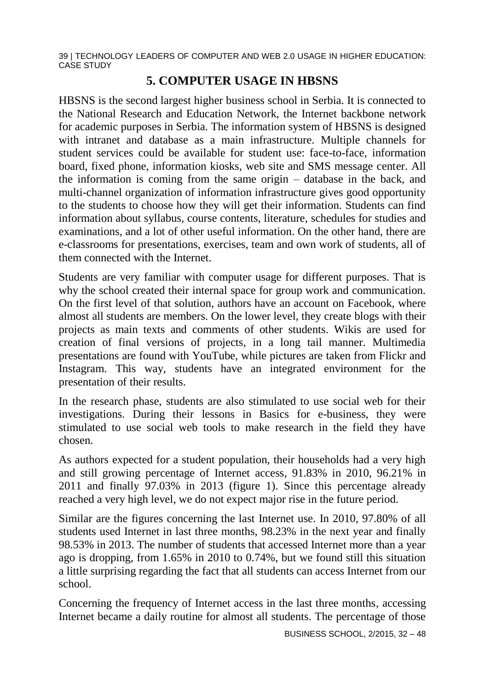### **5. COMPUTER USAGE IN HBSNS**

HBSNS is the second largest higher business school in Serbia. It is connected to the National Research and Education Network, the Internet backbone network for academic purposes in Serbia. The information system of HBSNS is designed with intranet and database as a main infrastructure. Multiple channels for student services could be available for student use: face-to-face, information board, fixed phone, information kiosks, web site and SMS message center. All the information is coming from the same origin – database in the back, and multi-channel organization of information infrastructure gives good opportunity to the students to choose how they will get their information. Students can find information about syllabus, course contents, literature, schedules for studies and examinations, and a lot of other useful information. On the other hand, there are e-classrooms for presentations, exercises, team and own work of students, all of them connected with the Internet.

Students are very familiar with computer usage for different purposes. That is why the school created their internal space for group work and communication. On the first level of that solution, authors have an account on Facebook, where almost all students are members. On the lower level, they create blogs with their projects as main texts and comments of other students. Wikis are used for creation of final versions of projects, in a long tail manner. Multimedia presentations are found with YouTube, while pictures are taken from Flickr and Instagram. This way, students have an integrated environment for the presentation of their results.

In the research phase, students are also stimulated to use social web for their investigations. During their lessons in Basics for e-business, they were stimulated to use social web tools to make research in the field they have chosen.

As authors expected for a student population, their households had a very high and still growing percentage of Internet access, 91.83% in 2010, 96.21% in 2011 and finally 97.03% in 2013 (figure 1). Since this percentage already reached a very high level, we do not expect major rise in the future period.

Similar are the figures concerning the last Internet use. In 2010, 97.80% of all students used Internet in last three months, 98.23% in the next year and finally 98.53% in 2013. The number of students that accessed Internet more than a year ago is dropping, from 1.65% in 2010 to 0.74%, but we found still this situation a little surprising regarding the fact that all students can access Internet from our school.

Concerning the frequency of Internet access in the last three months, accessing Internet became a daily routine for almost all students. The percentage of those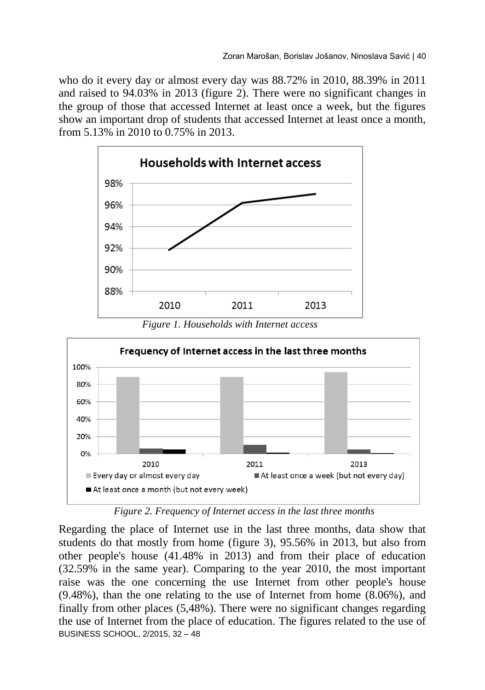who do it every day or almost every day was 88.72% in 2010, 88.39% in 2011 and raised to 94.03% in 2013 (figure 2). There were no significant changes in the group of those that accessed Internet at least once a week, but the figures show an important drop of students that accessed Internet at least once a month, from 5.13% in 2010 to 0.75% in 2013.



*Figure 1. Households with Internet access*



*Figure 2. Frequency of Internet access in the last three months*

BUSINESS SCHOOL, 2/2015, 32 – 48 Regarding the place of Internet use in the last three months, data show that students do that mostly from home (figure 3), 95.56% in 2013, but also from other people's house (41.48% in 2013) and from their place of education (32.59% in the same year). Comparing to the year 2010, the most important raise was the one concerning the use Internet from other people's house (9.48%), than the one relating to the use of Internet from home (8.06%), and finally from other places (5,48%). There were no significant changes regarding the use of Internet from the place of education. The figures related to the use of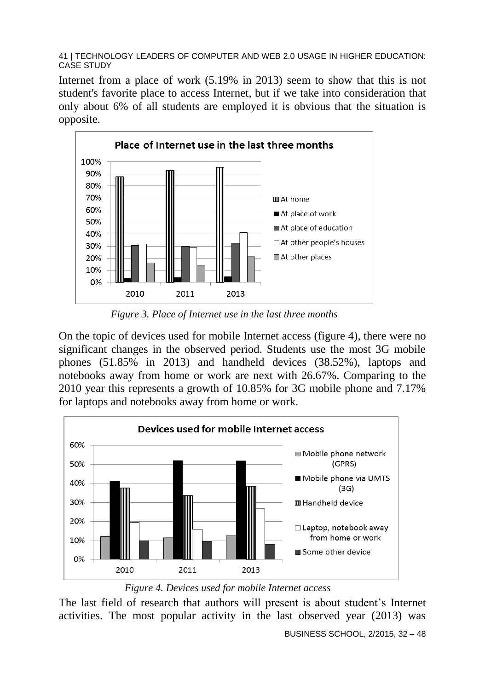Internet from a place of work (5.19% in 2013) seem to show that this is not student's favorite place to access Internet, but if we take into consideration that only about 6% of all students are employed it is obvious that the situation is opposite.



*Figure 3. Place of Internet use in the last three months*

On the topic of devices used for mobile Internet access (figure 4), there were no significant changes in the observed period. Students use the most 3G mobile phones (51.85% in 2013) and handheld devices (38.52%), laptops and notebooks away from home or work are next with 26.67%. Comparing to the 2010 year this represents a growth of 10.85% for 3G mobile phone and 7.17% for laptops and notebooks away from home or work.



*Figure 4. Devices used for mobile Internet access*

The last field of research that authors will present is about student's Internet activities. The most popular activity in the last observed year (2013) was

BUSINESS SCHOOL, 2/2015, 32 – 48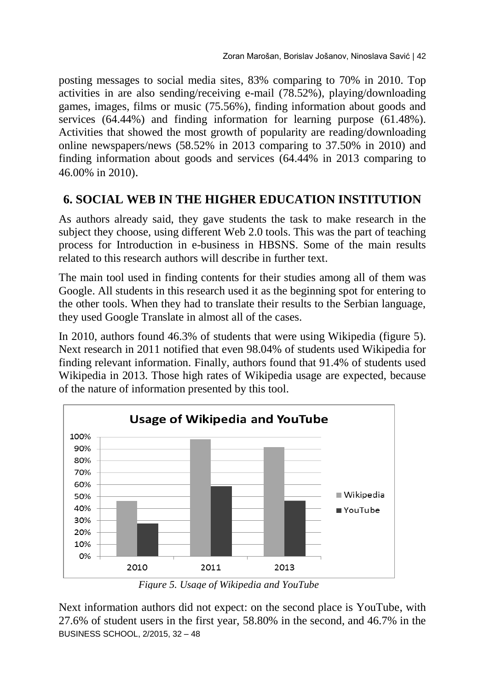posting messages to social media sites, 83% comparing to 70% in 2010. Top activities in are also sending/receiving e-mail (78.52%), playing/downloading games, images, films or music (75.56%), finding information about goods and services (64.44%) and finding information for learning purpose (61.48%). Activities that showed the most growth of popularity are reading/downloading online newspapers/news (58.52% in 2013 comparing to 37.50% in 2010) and finding information about goods and services (64.44% in 2013 comparing to 46.00% in 2010).

### **6. SOCIAL WEB IN THE HIGHER EDUCATION INSTITUTION**

As authors already said, they gave students the task to make research in the subject they choose, using different Web 2.0 tools. This was the part of teaching process for Introduction in e-business in HBSNS. Some of the main results related to this research authors will describe in further text.

The main tool used in finding contents for their studies among all of them was Google. All students in this research used it as the beginning spot for entering to the other tools. When they had to translate their results to the Serbian language, they used Google Translate in almost all of the cases.

In 2010, authors found 46.3% of students that were using Wikipedia (figure 5). Next research in 2011 notified that even 98.04% of students used Wikipedia for finding relevant information. Finally, authors found that 91.4% of students used Wikipedia in 2013. Those high rates of Wikipedia usage are expected, because of the nature of information presented by this tool.



*Figure 5. Usage of Wikipedia and YouTube*

BUSINESS SCHOOL, 2/2015, 32 – 48 Next information authors did not expect: on the second place is YouTube, with 27.6% of student users in the first year, 58.80% in the second, and 46.7% in the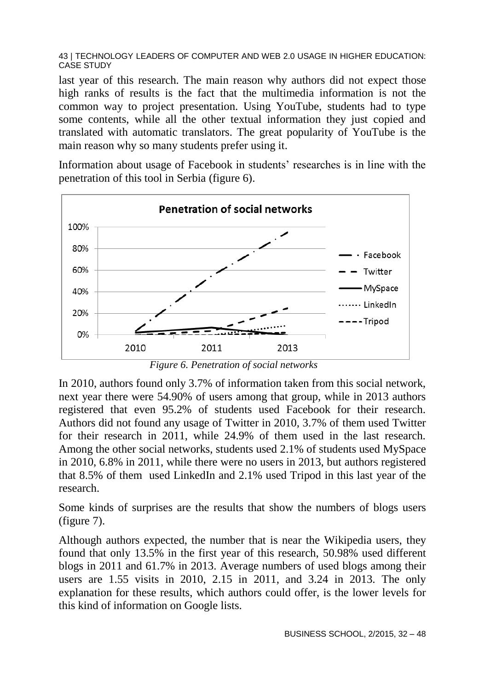last year of this research. The main reason why authors did not expect those high ranks of results is the fact that the multimedia information is not the common way to project presentation. Using YouTube, students had to type some contents, while all the other textual information they just copied and translated with automatic translators. The great popularity of YouTube is the main reason why so many students prefer using it.

Information about usage of Facebook in students' researches is in line with the penetration of this tool in Serbia (figure 6).



*Figure 6. Penetration of social networks*

In 2010, authors found only 3.7% of information taken from this social network, next year there were 54.90% of users among that group, while in 2013 authors registered that even 95.2% of students used Facebook for their research. Authors did not found any usage of Twitter in 2010, 3.7% of them used Twitter for their research in 2011, while 24.9% of them used in the last research. Among the other social networks, students used 2.1% of students used MySpace in 2010, 6.8% in 2011, while there were no users in 2013, but authors registered that 8.5% of them used LinkedIn and 2.1% used Tripod in this last year of the research.

Some kinds of surprises are the results that show the numbers of blogs users (figure 7).

Although authors expected, the number that is near the Wikipedia users, they found that only 13.5% in the first year of this research, 50.98% used different blogs in 2011 and 61.7% in 2013. Average numbers of used blogs among their users are 1.55 visits in 2010, 2.15 in 2011, and 3.24 in 2013. The only explanation for these results, which authors could offer, is the lower levels for this kind of information on Google lists.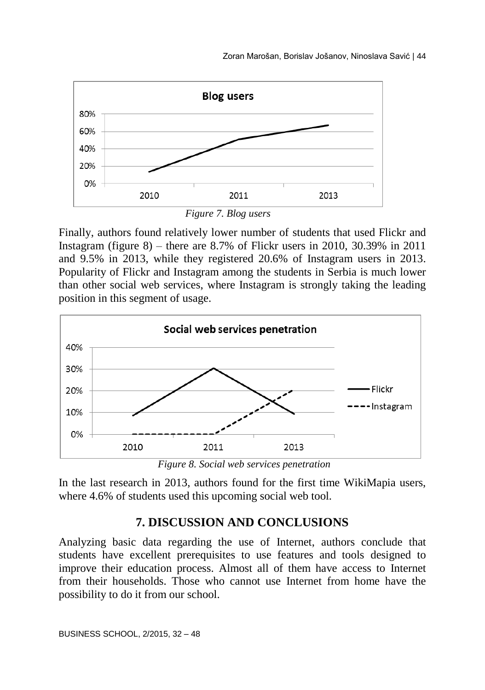

*Figure 7. Blog users*

Finally, authors found relatively lower number of students that used Flickr and Instagram (figure  $8$ ) – there are  $8.7\%$  of Flickr users in 2010, 30.39% in 2011 and 9.5% in 2013, while they registered 20.6% of Instagram users in 2013. Popularity of Flickr and Instagram among the students in Serbia is much lower than other social web services, where Instagram is strongly taking the leading position in this segment of usage.





In the last research in 2013, authors found for the first time WikiMapia users, where 4.6% of students used this upcoming social web tool.

### **7. DISCUSSION AND CONCLUSIONS**

Analyzing basic data regarding the use of Internet, authors conclude that students have excellent prerequisites to use features and tools designed to improve their education process. Almost all of them have access to Internet from their households. Those who cannot use Internet from home have the possibility to do it from our school.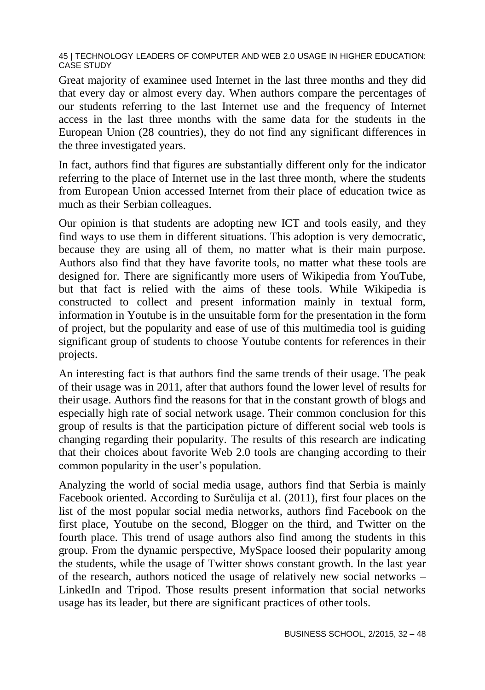Great majority of examinee used Internet in the last three months and they did that every day or almost every day. When authors compare the percentages of our students referring to the last Internet use and the frequency of Internet access in the last three months with the same data for the students in the European Union (28 countries), they do not find any significant differences in the three investigated years.

In fact, authors find that figures are substantially different only for the indicator referring to the place of Internet use in the last three month, where the students from European Union accessed Internet from their place of education twice as much as their Serbian colleagues.

Our opinion is that students are adopting new ICT and tools easily, and they find ways to use them in different situations. This adoption is very democratic, because they are using all of them, no matter what is their main purpose. Authors also find that they have favorite tools, no matter what these tools are designed for. There are significantly more users of Wikipedia from YouTube, but that fact is relied with the aims of these tools. While Wikipedia is constructed to collect and present information mainly in textual form, information in Youtube is in the unsuitable form for the presentation in the form of project, but the popularity and ease of use of this multimedia tool is guiding significant group of students to choose Youtube contents for references in their projects.

An interesting fact is that authors find the same trends of their usage. The peak of their usage was in 2011, after that authors found the lower level of results for their usage. Authors find the reasons for that in the constant growth of blogs and especially high rate of social network usage. Their common conclusion for this group of results is that the participation picture of different social web tools is changing regarding their popularity. The results of this research are indicating that their choices about favorite Web 2.0 tools are changing according to their common popularity in the user's population.

Analyzing the world of social media usage, authors find that Serbia is mainly Facebook oriented. According to Surčulija et al. (2011), first four places on the list of the most popular social media networks, authors find Facebook on the first place, Youtube on the second, Blogger on the third, and Twitter on the fourth place. This trend of usage authors also find among the students in this group. From the dynamic perspective, MySpace loosed their popularity among the students, while the usage of Twitter shows constant growth. In the last year of the research, authors noticed the usage of relatively new social networks – LinkedIn and Tripod. Those results present information that social networks usage has its leader, but there are significant practices of other tools.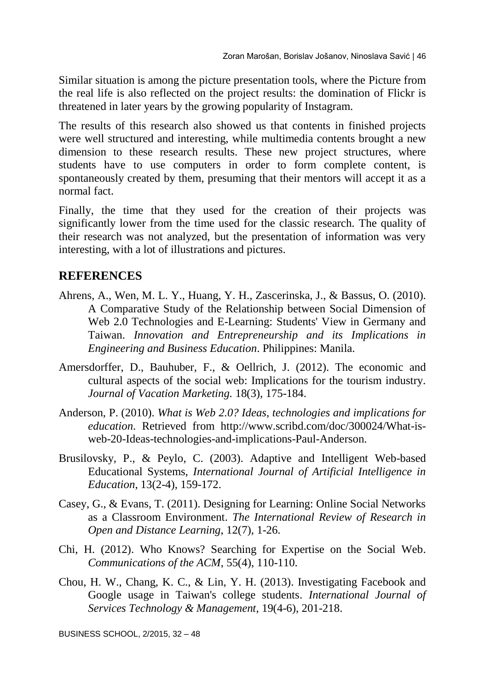Similar situation is among the picture presentation tools, where the Picture from the real life is also reflected on the project results: the domination of Flickr is threatened in later years by the growing popularity of Instagram.

The results of this research also showed us that contents in finished projects were well structured and interesting, while multimedia contents brought a new dimension to these research results. These new project structures, where students have to use computers in order to form complete content, is spontaneously created by them, presuming that their mentors will accept it as a normal fact.

Finally, the time that they used for the creation of their projects was significantly lower from the time used for the classic research. The quality of their research was not analyzed, but the presentation of information was very interesting, with a lot of illustrations and pictures.

### **REFERENCES**

- Ahrens, A., Wen, M. L. Y., Huang, Y. H., Zascerinska, J., & Bassus, O. (2010). A Comparative Study of the Relationship between Social Dimension of Web 2.0 Technologies and E-Learning: Students' View in Germany and Taiwan. *Innovation and Entrepreneurship and its Implications in Engineering and Business Education*. Philippines: Manila.
- Amersdorffer, D., Bauhuber, F., & Oellrich, J. (2012). The economic and cultural aspects of the social web: Implications for the tourism industry. *Journal of Vacation Marketing.* 18(3), 175-184.
- Anderson, P. (2010). *What is Web 2.0? Ideas, technologies and implications for education*. Retrieved from http://www.scribd.com/doc/300024/What-isweb-20-Ideas-technologies-and-implications-Paul-Anderson.
- [Brusilovsky,](http://www.mendeley.com/profiles/peter-brusilovsky/) P., & Peylo, C. (2003). Adaptive and Intelligent Web-based Educational Systems, *International Journal of Artificial Intelligence in Education*, 13(2-4), 159-172.
- Casey, G., & Evans, T. (2011). Designing for Learning: Online Social Networks as a Classroom Environment. *The International Review of Research in Open and Distance Learning*, 12(7), 1-26.
- Chi, H. (2012). Who Knows? Searching for Expertise on the Social Web. *Communications of the ACM*, 55(4), 110-110.
- Chou, H. W., Chang, K. C., & Lin, Y. H. (2013). Investigating Facebook and Google usage in Taiwan's college students. *International Journal of Services Technology & Management*, 19(4-6), 201-218.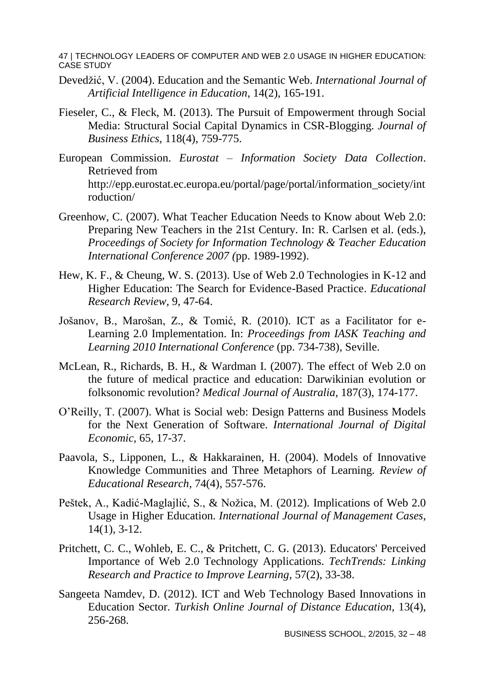- Devedžić, V. (2004). Education and the Semantic Web. *International Journal of Artificial Intelligence in Education*, 14(2), 165-191.
- Fieseler, C., & Fleck, M. (2013). The Pursuit of Empowerment through Social Media: Structural Social Capital Dynamics in CSR-Blogging. *Journal of Business Ethics*, 118(4), 759-775.
- European Commission. *Eurostat – Information Society Data Collection*. Retrieved from http://epp.eurostat.ec.europa.eu/portal/page/portal/information\_society/int roduction/
- Greenhow, C. (2007). What Teacher Education Needs to Know about Web 2.0: Preparing New Teachers in the 21st Century. In: R. Carlsen et al. (eds.), *Proceedings of Society for Information Technology & Teacher Education International Conference 2007 (*pp. 1989-1992).
- Hew, K. F., & Cheung, W. S. (2013). Use of Web 2.0 Technologies in K-12 and Higher Education: The Search for Evidence-Based Practice. *Educational Research Review*, 9, 47-64.
- Jošanov, B., Marošan, Z., & Tomić, R. (2010). ICT as a Facilitator for e-Learning 2.0 Implementation. In: *Proceedings from IASK Teaching and Learning 2010 International Conference* (pp. 734-738), Seville.
- McLean, R., Richards, B. H., & Wardman I. (2007). The effect of Web 2.0 on the future of medical practice and education: Darwikinian evolution or folksonomic revolution? *Medical Journal of Australia*, 187(3), 174-177.
- O'Reilly, T. (2007). What is Social web: Design Patterns and Business Models for the Next Generation of Software. *International Journal of Digital Economic,* 65, 17-37.
- Paavola, S., Lipponen, L., & Hakkarainen, H. (2004). Models of Innovative Knowledge Communities and Three Metaphors of Learning. *Review of Educational Research*, 74(4), 557-576.
- Peštek, A., Kadić-Maglajlić, S., & Nožica, M. (2012). Implications of Web 2.0 Usage in Higher Education. *[International Journal of Management Cases](javascript:__doLinkPostBack()*, 14(1), 3-12.
- Pritchett, C. C., Wohleb, E. C., & Pritchett, C. G. (2013). Educators' Perceived Importance of Web 2.0 Technology Applications. *TechTrends: Linking Research and Practice to Improve Learning*, 57(2), 33-38.
- Sangeeta [Namdev, D.](javascript:__doLinkPostBack() (2012). ICT and Web Technology Based Innovations in Education Sector. *Turkish Online Journal of Distance Education,* 13(4), 256-268.